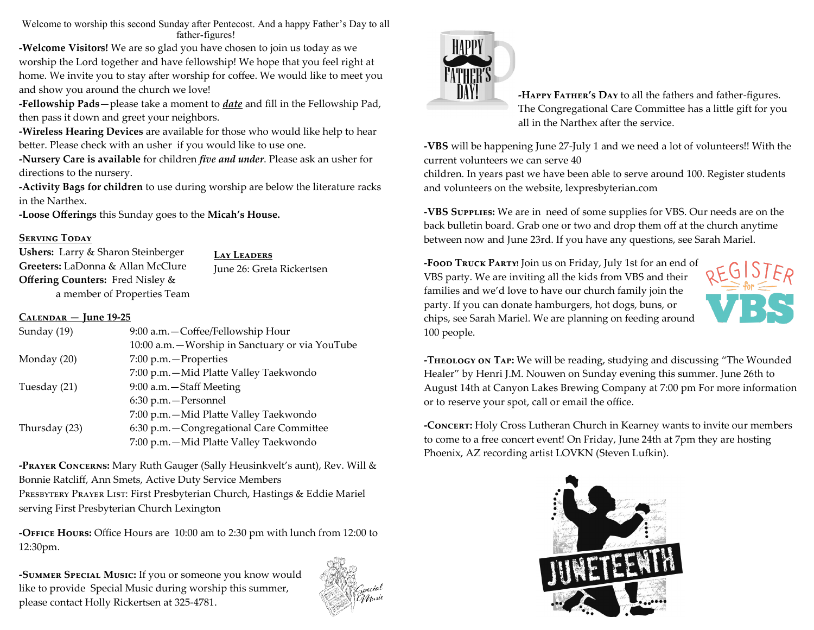Welcome to worship this second Sunday after Pentecost. And a happy Father's Day to all father-figures!

**-Welcome Visitors!** We are so glad you have chosen to join us today as we worship the Lord together and have fellowship! We hope that you feel right at home. We invite you to stay after worship for coffee. We would like to meet you and show you around the church we love!

**-Fellowship Pads**—please take a moment to *date* and fill in the Fellowship Pad, then pass it down and greet your neighbors.

**-Wireless Hearing Devices** are available for those who would like help to hear better. Please check with an usher if you would like to use one.

**-Nursery Care is available** for children *five and under*. Please ask an usher for directions to the nursery.

**-Activity Bags for children** to use during worship are below the literature racks in the Narthex.

**-Loose Offerings** this Sunday goes to the **Micah's House.**

## **SERVING TODAY**

**Ushers:** Larry & Sharon Steinberger **Greeters:** LaDonna & Allan McClure **Offering Counters:** Fred Nisley & a member of Properties Team **Lay Leaders**

June 26: Greta Rickertsen

## **Calendar — June 19-25**

| Sunday (19)   | 9:00 a.m. - Coffee/Fellowship Hour               |
|---------------|--------------------------------------------------|
|               | 10:00 a.m. - Worship in Sanctuary or via YouTube |
| Monday (20)   | 7:00 p.m. - Properties                           |
|               | 7:00 p.m. - Mid Platte Valley Taekwondo          |
| Tuesday (21)  | 9:00 a.m. - Staff Meeting                        |
|               | 6:30 p.m. - Personnel                            |
|               | 7:00 p.m. - Mid Platte Valley Taekwondo          |
| Thursday (23) | 6:30 p.m. - Congregational Care Committee        |
|               | 7:00 p.m. - Mid Platte Valley Taekwondo          |
|               |                                                  |

**-Prayer Concerns:** Mary Ruth Gauger (Sally Heusinkvelt's aunt), Rev. Will & Bonnie Ratcliff, Ann Smets, Active Duty Service Members PRESBYTERY PRAYER LIST: First Presbyterian Church, Hastings & Eddie Mariel serving First Presbyterian Church Lexington

**-Office Hours:** Office Hours are 10:00 am to 2:30 pm with lunch from 12:00 to 12:30pm.

**-Summer Special Music:** If you or someone you know would like to provide Special Music during worship this summer, please contact Holly Rickertsen at 325-4781.





**-Happy Father's Day** to all the fathers and father-figures. The Congregational Care Committee has a little gift for you all in the Narthex after the service.

**-VBS** will be happening June 27-July 1 and we need a lot of volunteers!! With the current volunteers we can serve 40

children. In years past we have been able to serve around 100. Register students and volunteers on the website, lexpresbyterian.com

**-VBS Supplies:** We are in need of some supplies for VBS. Our needs are on the back bulletin board. Grab one or two and drop them off at the church anytime between now and June 23rd. If you have any questions, see Sarah Mariel.

**-Food Truck Party!** Join us on Friday, July 1st for an end of VBS party. We are inviting all the kids from VBS and their families and we'd love to have our church family join the party. If you can donate hamburgers, hot dogs, buns, or chips, see Sarah Mariel. We are planning on feeding around 100 people.



**-Theology on Tap:** We will be reading, studying and discussing "The Wounded Healer" by Henri J.M. Nouwen on Sunday evening this summer. June 26th to August 14th at Canyon Lakes Brewing Company at 7:00 pm For more information or to reserve your spot, call or email the office.

**-Concert:** Holy Cross Lutheran Church in Kearney wants to invite our members to come to a free concert event! On Friday, June 24th at 7pm they are hosting Phoenix, AZ recording artist LOVKN (Steven Lufkin).